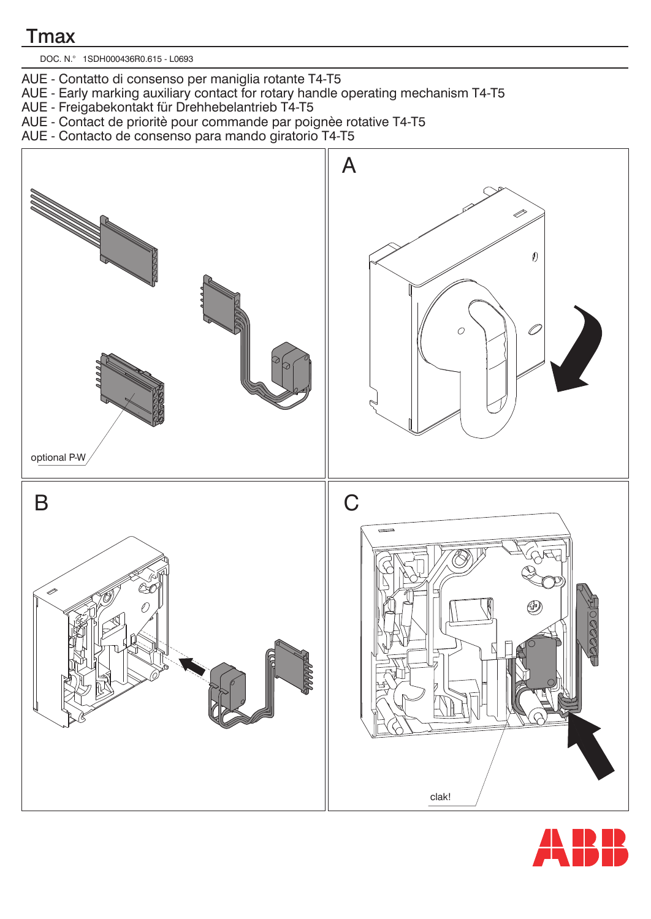## **T**max

DOC. N.° 1SDH000436R0.615 - L0693

- AUE Contatto di consenso per maniglia rotante T4-T5
- AUE Early marking auxiliary contact for rotary handle operating mechanism T4-T5
- AUE Freigabekontakt für Drehhebelantrieb T4-T5
- AUE Contact de prioritè pour commande par poignèe rotative T4-T5
- AUE Contacto de consenso para mando giratorio T4-T5



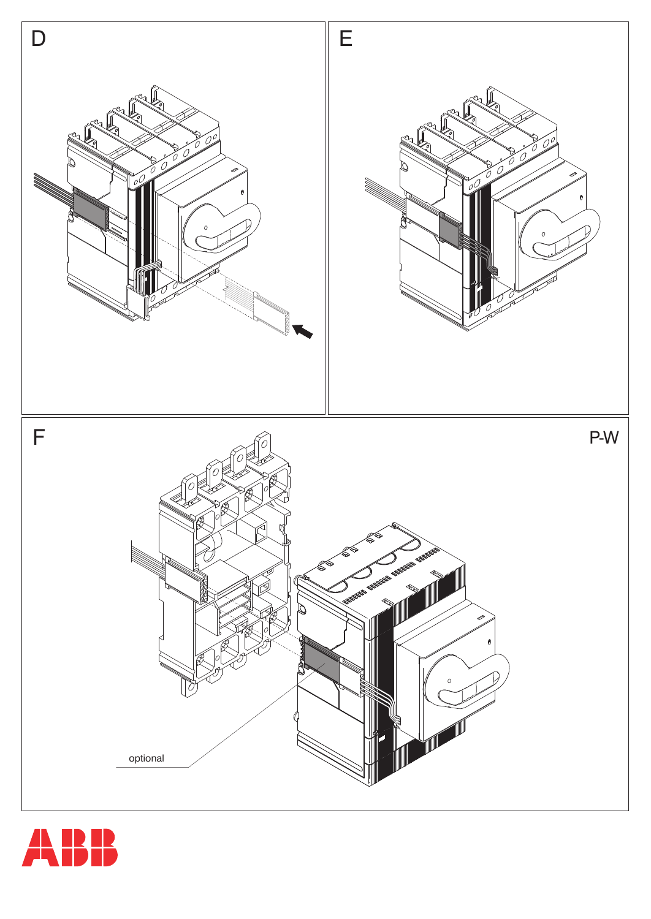